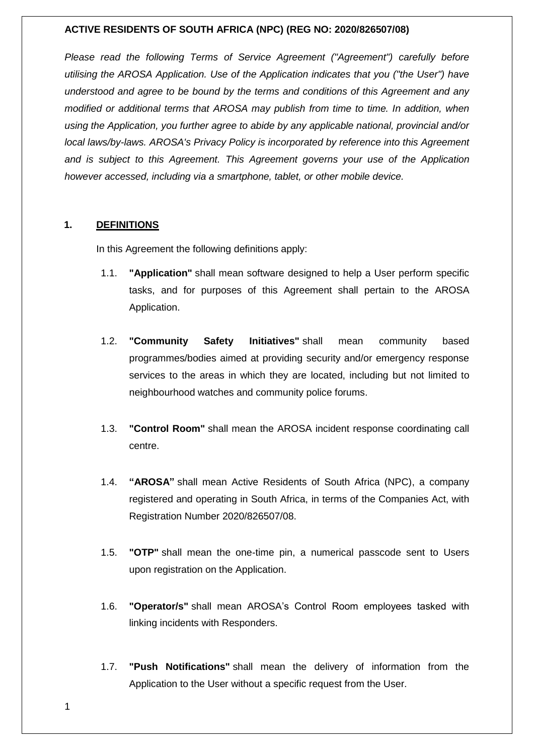*Please read the following Terms of Service Agreement ("Agreement") carefully before utilising the AROSA Application. Use of the Application indicates that you ("the User") have understood and agree to be bound by the terms and conditions of this Agreement and any modified or additional terms that AROSA may publish from time to time. In addition, when using the Application, you further agree to abide by any applicable national, provincial and/or local laws/by-laws. AROSA's Privacy Policy is incorporated by reference into this Agreement and is subject to this Agreement. This Agreement governs your use of the Application however accessed, including via a smartphone, tablet, or other mobile device.*

### **1. DEFINITIONS**

In this Agreement the following definitions apply:

- 1.1. **"Application"** shall mean software designed to help a User perform specific tasks, and for purposes of this Agreement shall pertain to the AROSA Application.
- 1.2. **"Community Safety Initiatives"** shall mean community based programmes/bodies aimed at providing security and/or emergency response services to the areas in which they are located, including but not limited to neighbourhood watches and community police forums.
- 1.3. **"Control Room"** shall mean the AROSA incident response coordinating call centre.
- 1.4. **"AROSA"** shall mean Active Residents of South Africa (NPC), a company registered and operating in South Africa, in terms of the Companies Act, with Registration Number 2020/826507/08.
- 1.5. **"OTP"** shall mean the one-time pin, a numerical passcode sent to Users upon registration on the Application.
- 1.6. **"Operator/s"** shall mean AROSA's Control Room employees tasked with linking incidents with Responders.
- 1.7. **"Push Notifications"** shall mean the delivery of information from the Application to the User without a specific request from the User.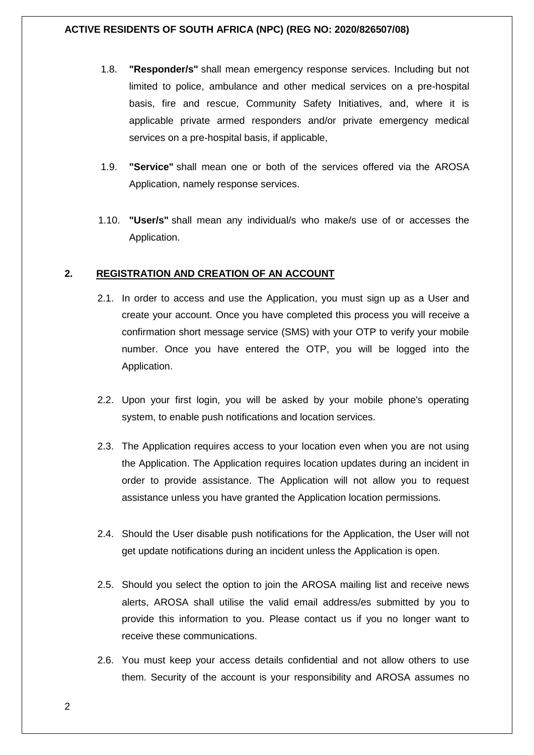- 1.8. **"Responder/s"** shall mean emergency response services. Including but not limited to police, ambulance and other medical services on a pre-hospital basis, fire and rescue, Community Safety Initiatives, and, where it is applicable private armed responders and/or private emergency medical services on a pre-hospital basis, if applicable,
- 1.9. **"Service"** shall mean one or both of the services offered via the AROSA Application, namely response services.
- 1.10. **"User/s"** shall mean any individual/s who make/s use of or accesses the Application.

# **2. REGISTRATION AND CREATION OF AN ACCOUNT**

- 2.1. In order to access and use the Application, you must sign up as a User and create your account. Once you have completed this process you will receive a confirmation short message service (SMS) with your OTP to verify your mobile number. Once you have entered the OTP, you will be logged into the Application.
- 2.2. Upon your first login, you will be asked by your mobile phone's operating system, to enable push notifications and location services.
- 2.3. The Application requires access to your location even when you are not using the Application. The Application requires location updates during an incident in order to provide assistance. The Application will not allow you to request assistance unless you have granted the Application location permissions.
- 2.4. Should the User disable push notifications for the Application, the User will not get update notifications during an incident unless the Application is open.
- 2.5. Should you select the option to join the AROSA mailing list and receive news alerts, AROSA shall utilise the valid email address/es submitted by you to provide this information to you. Please contact us if you no longer want to receive these communications.
- 2.6. You must keep your access details confidential and not allow others to use them. Security of the account is your responsibility and AROSA assumes no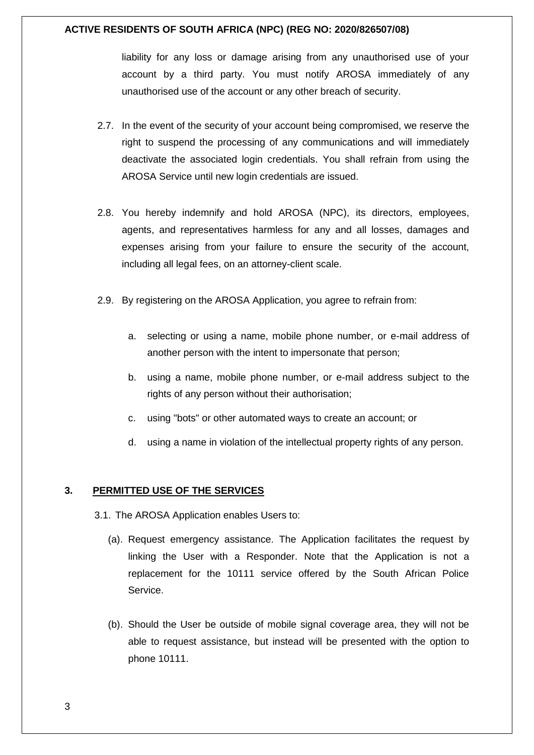liability for any loss or damage arising from any unauthorised use of your account by a third party. You must notify AROSA immediately of any unauthorised use of the account or any other breach of security.

- 2.7. In the event of the security of your account being compromised, we reserve the right to suspend the processing of any communications and will immediately deactivate the associated login credentials. You shall refrain from using the AROSA Service until new login credentials are issued.
- 2.8. You hereby indemnify and hold AROSA (NPC), its directors, employees, agents, and representatives harmless for any and all losses, damages and expenses arising from your failure to ensure the security of the account, including all legal fees, on an attorney-client scale.
- 2.9. By registering on the AROSA Application, you agree to refrain from:
	- a. selecting or using a name, mobile phone number, or e-mail address of another person with the intent to impersonate that person;
	- b. using a name, mobile phone number, or e-mail address subject to the rights of any person without their authorisation;
	- c. using "bots" or other automated ways to create an account; or
	- d. using a name in violation of the intellectual property rights of any person.

# **3. PERMITTED USE OF THE SERVICES**

- 3.1. The AROSA Application enables Users to:
	- (a). Request emergency assistance. The Application facilitates the request by linking the User with a Responder. Note that the Application is not a replacement for the 10111 service offered by the South African Police Service.
	- (b). Should the User be outside of mobile signal coverage area, they will not be able to request assistance, but instead will be presented with the option to phone 10111.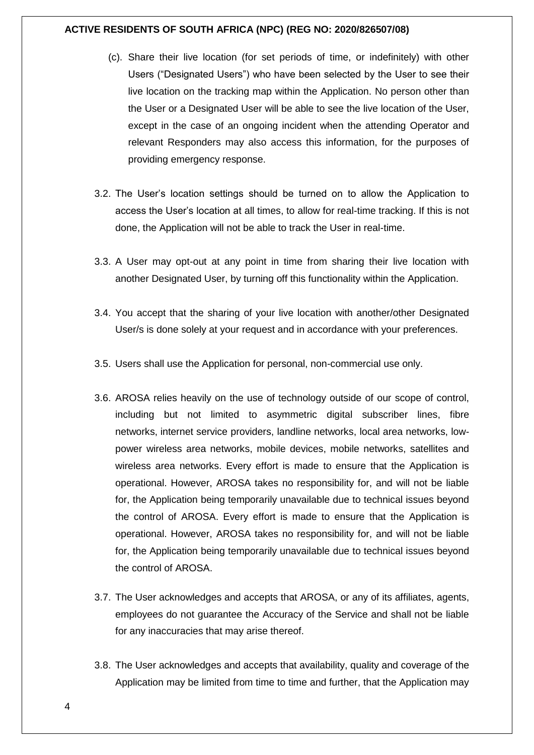- (c). Share their live location (for set periods of time, or indefinitely) with other Users ("Designated Users") who have been selected by the User to see their live location on the tracking map within the Application. No person other than the User or a Designated User will be able to see the live location of the User, except in the case of an ongoing incident when the attending Operator and relevant Responders may also access this information, for the purposes of providing emergency response.
- 3.2. The User's location settings should be turned on to allow the Application to access the User's location at all times, to allow for real-time tracking. If this is not done, the Application will not be able to track the User in real-time.
- 3.3. A User may opt-out at any point in time from sharing their live location with another Designated User, by turning off this functionality within the Application.
- 3.4. You accept that the sharing of your live location with another/other Designated User/s is done solely at your request and in accordance with your preferences.
- 3.5. Users shall use the Application for personal, non-commercial use only.
- 3.6. AROSA relies heavily on the use of technology outside of our scope of control, including but not limited to asymmetric digital subscriber lines, fibre networks, internet service providers, landline networks, local area networks, lowpower wireless area networks, mobile devices, mobile networks, satellites and wireless area networks. Every effort is made to ensure that the Application is operational. However, AROSA takes no responsibility for, and will not be liable for, the Application being temporarily unavailable due to technical issues beyond the control of AROSA. Every effort is made to ensure that the Application is operational. However, AROSA takes no responsibility for, and will not be liable for, the Application being temporarily unavailable due to technical issues beyond the control of AROSA.
- 3.7. The User acknowledges and accepts that AROSA, or any of its affiliates, agents, employees do not guarantee the Accuracy of the Service and shall not be liable for any inaccuracies that may arise thereof.
- 3.8. The User acknowledges and accepts that availability, quality and coverage of the Application may be limited from time to time and further, that the Application may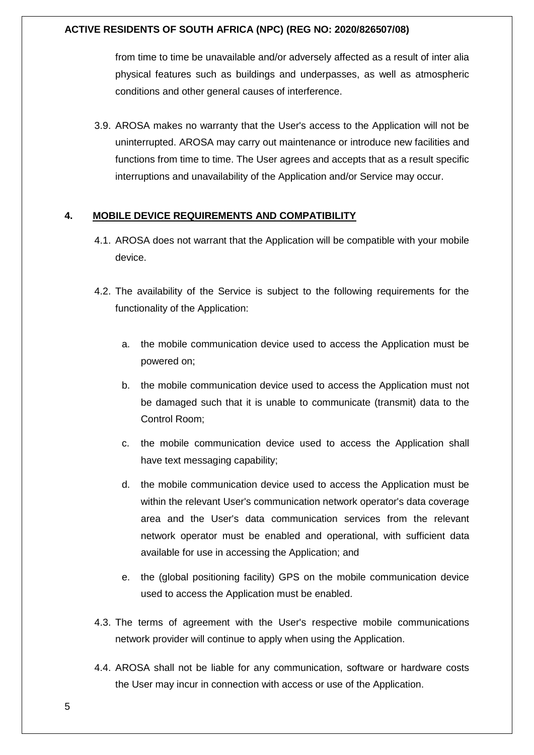from time to time be unavailable and/or adversely affected as a result of inter alia physical features such as buildings and underpasses, as well as atmospheric conditions and other general causes of interference.

3.9. AROSA makes no warranty that the User's access to the Application will not be uninterrupted. AROSA may carry out maintenance or introduce new facilities and functions from time to time. The User agrees and accepts that as a result specific interruptions and unavailability of the Application and/or Service may occur.

# **4. MOBILE DEVICE REQUIREMENTS AND COMPATIBILITY**

- 4.1. AROSA does not warrant that the Application will be compatible with your mobile device.
- 4.2. The availability of the Service is subject to the following requirements for the functionality of the Application:
	- a. the mobile communication device used to access the Application must be powered on;
	- b. the mobile communication device used to access the Application must not be damaged such that it is unable to communicate (transmit) data to the Control Room;
	- c. the mobile communication device used to access the Application shall have text messaging capability;
	- d. the mobile communication device used to access the Application must be within the relevant User's communication network operator's data coverage area and the User's data communication services from the relevant network operator must be enabled and operational, with sufficient data available for use in accessing the Application; and
	- e. the (global positioning facility) GPS on the mobile communication device used to access the Application must be enabled.
- 4.3. The terms of agreement with the User's respective mobile communications network provider will continue to apply when using the Application.
- 4.4. AROSA shall not be liable for any communication, software or hardware costs the User may incur in connection with access or use of the Application.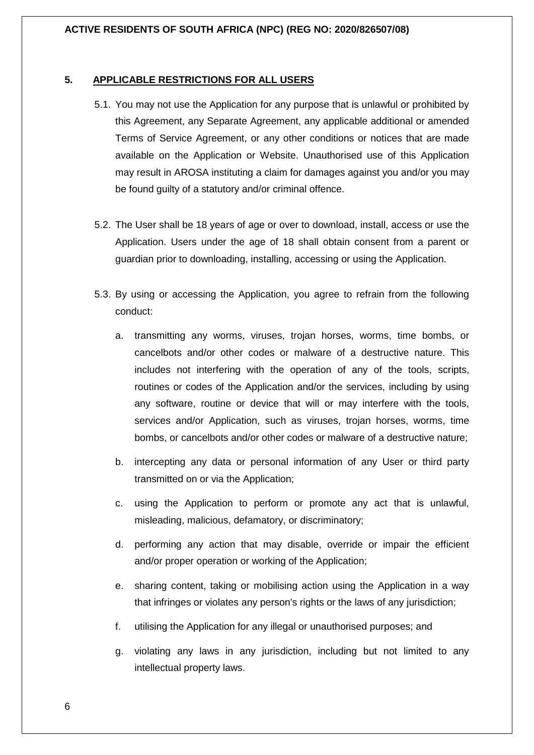#### **5. APPLICABLE RESTRICTIONS FOR ALL USERS**

- 5.1. You may not use the Application for any purpose that is unlawful or prohibited by this Agreement, any Separate Agreement, any applicable additional or amended Terms of Service Agreement, or any other conditions or notices that are made available on the Application or Website. Unauthorised use of this Application may result in AROSA instituting a claim for damages against you and/or you may be found guilty of a statutory and/or criminal offence.
- 5.2. The User shall be 18 years of age or over to download, install, access or use the Application. Users under the age of 18 shall obtain consent from a parent or guardian prior to downloading, installing, accessing or using the Application.
- 5.3. By using or accessing the Application, you agree to refrain from the following conduct:
	- a. transmitting any worms, viruses, trojan horses, worms, time bombs, or cancelbots and/or other codes or malware of a destructive nature. This includes not interfering with the operation of any of the tools, scripts, routines or codes of the Application and/or the services, including by using any software, routine or device that will or may interfere with the tools, services and/or Application, such as viruses, trojan horses, worms, time bombs, or cancelbots and/or other codes or malware of a destructive nature;
	- b. intercepting any data or personal information of any User or third party transmitted on or via the Application;
	- c. using the Application to perform or promote any act that is unlawful, misleading, malicious, defamatory, or discriminatory;
	- d. performing any action that may disable, override or impair the efficient and/or proper operation or working of the Application;
	- e. sharing content, taking or mobilising action using the Application in a way that infringes or violates any person's rights or the laws of any jurisdiction;
	- f. utilising the Application for any illegal or unauthorised purposes; and
	- g. violating any laws in any jurisdiction, including but not limited to any intellectual property laws.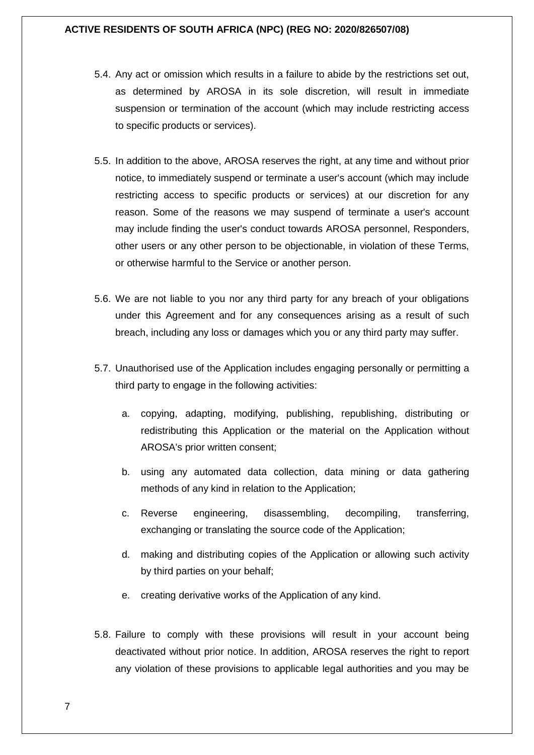- 5.4. Any act or omission which results in a failure to abide by the restrictions set out, as determined by AROSA in its sole discretion, will result in immediate suspension or termination of the account (which may include restricting access to specific products or services).
- 5.5. In addition to the above, AROSA reserves the right, at any time and without prior notice, to immediately suspend or terminate a user's account (which may include restricting access to specific products or services) at our discretion for any reason. Some of the reasons we may suspend of terminate a user's account may include finding the user's conduct towards AROSA personnel, Responders, other users or any other person to be objectionable, in violation of these Terms, or otherwise harmful to the Service or another person.
- 5.6. We are not liable to you nor any third party for any breach of your obligations under this Agreement and for any consequences arising as a result of such breach, including any loss or damages which you or any third party may suffer.
- 5.7. Unauthorised use of the Application includes engaging personally or permitting a third party to engage in the following activities:
	- a. copying, adapting, modifying, publishing, republishing, distributing or redistributing this Application or the material on the Application without AROSA's prior written consent;
	- b. using any automated data collection, data mining or data gathering methods of any kind in relation to the Application;
	- c. Reverse engineering, disassembling, decompiling, transferring, exchanging or translating the source code of the Application;
	- d. making and distributing copies of the Application or allowing such activity by third parties on your behalf;
	- e. creating derivative works of the Application of any kind.
- 5.8. Failure to comply with these provisions will result in your account being deactivated without prior notice. In addition, AROSA reserves the right to report any violation of these provisions to applicable legal authorities and you may be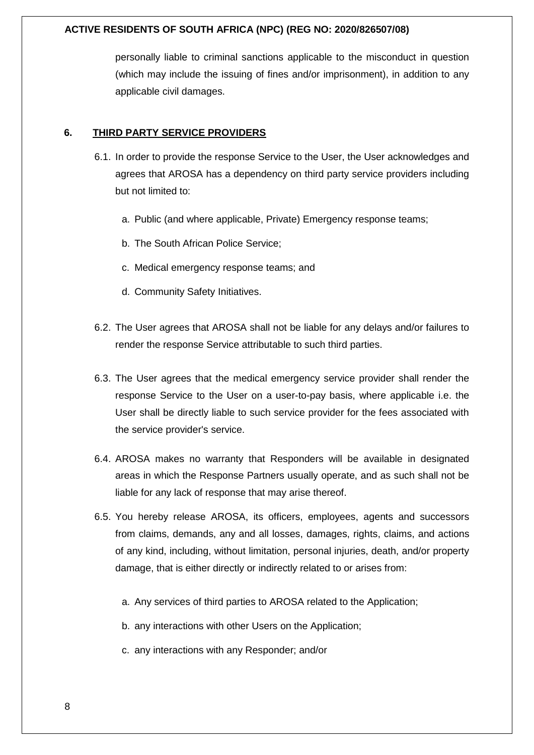personally liable to criminal sanctions applicable to the misconduct in question (which may include the issuing of fines and/or imprisonment), in addition to any applicable civil damages.

### **6. THIRD PARTY SERVICE PROVIDERS**

- 6.1. In order to provide the response Service to the User, the User acknowledges and agrees that AROSA has a dependency on third party service providers including but not limited to:
	- a. Public (and where applicable, Private) Emergency response teams;
	- b. The South African Police Service;
	- c. Medical emergency response teams; and
	- d. Community Safety Initiatives.
- 6.2. The User agrees that AROSA shall not be liable for any delays and/or failures to render the response Service attributable to such third parties.
- 6.3. The User agrees that the medical emergency service provider shall render the response Service to the User on a user-to-pay basis, where applicable i.e. the User shall be directly liable to such service provider for the fees associated with the service provider's service.
- 6.4. AROSA makes no warranty that Responders will be available in designated areas in which the Response Partners usually operate, and as such shall not be liable for any lack of response that may arise thereof.
- 6.5. You hereby release AROSA, its officers, employees, agents and successors from claims, demands, any and all losses, damages, rights, claims, and actions of any kind, including, without limitation, personal injuries, death, and/or property damage, that is either directly or indirectly related to or arises from:
	- a. Any services of third parties to AROSA related to the Application;
	- b. any interactions with other Users on the Application;
	- c. any interactions with any Responder; and/or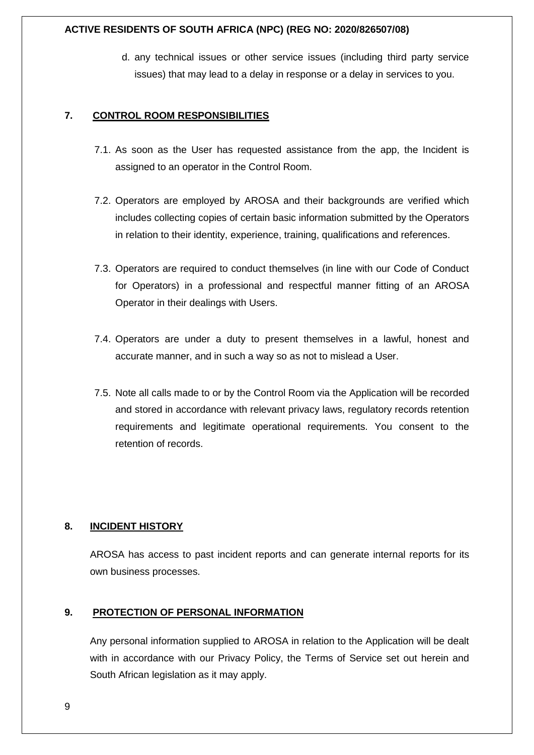d. any technical issues or other service issues (including third party service issues) that may lead to a delay in response or a delay in services to you.

# **7. CONTROL ROOM RESPONSIBILITIES**

- 7.1. As soon as the User has requested assistance from the app, the Incident is assigned to an operator in the Control Room.
- 7.2. Operators are employed by AROSA and their backgrounds are verified which includes collecting copies of certain basic information submitted by the Operators in relation to their identity, experience, training, qualifications and references.
- 7.3. Operators are required to conduct themselves (in line with our Code of Conduct for Operators) in a professional and respectful manner fitting of an AROSA Operator in their dealings with Users.
- 7.4. Operators are under a duty to present themselves in a lawful, honest and accurate manner, and in such a way so as not to mislead a User.
- 7.5. Note all calls made to or by the Control Room via the Application will be recorded and stored in accordance with relevant privacy laws, regulatory records retention requirements and legitimate operational requirements. You consent to the retention of records.

# **8. INCIDENT HISTORY**

AROSA has access to past incident reports and can generate internal reports for its own business processes.

# **9. PROTECTION OF PERSONAL INFORMATION**

Any personal information supplied to AROSA in relation to the Application will be dealt with in accordance with our Privacy Policy, the Terms of Service set out herein and South African legislation as it may apply.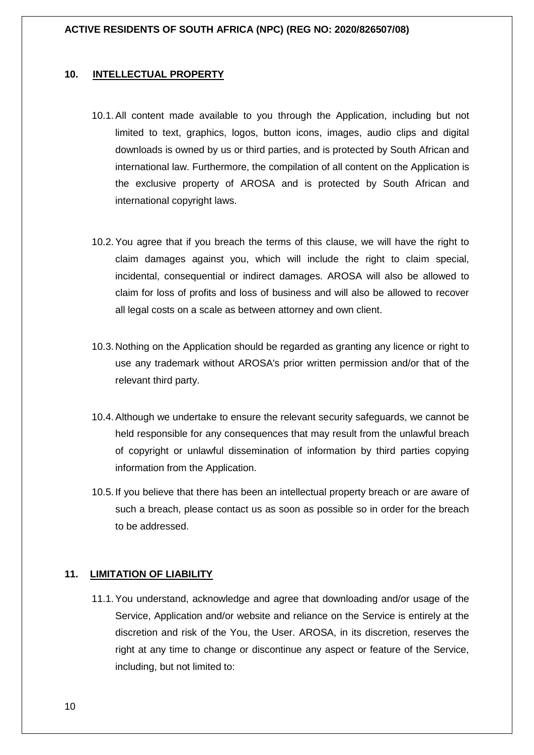#### **10. INTELLECTUAL PROPERTY**

- 10.1.All content made available to you through the Application, including but not limited to text, graphics, logos, button icons, images, audio clips and digital downloads is owned by us or third parties, and is protected by South African and international law. Furthermore, the compilation of all content on the Application is the exclusive property of AROSA and is protected by South African and international copyright laws.
- 10.2.You agree that if you breach the terms of this clause, we will have the right to claim damages against you, which will include the right to claim special, incidental, consequential or indirect damages. AROSA will also be allowed to claim for loss of profits and loss of business and will also be allowed to recover all legal costs on a scale as between attorney and own client.
- 10.3. Nothing on the Application should be regarded as granting any licence or right to use any trademark without AROSA's prior written permission and/or that of the relevant third party.
- 10.4.Although we undertake to ensure the relevant security safeguards, we cannot be held responsible for any consequences that may result from the unlawful breach of copyright or unlawful dissemination of information by third parties copying information from the Application.
- 10.5. If you believe that there has been an intellectual property breach or are aware of such a breach, please contact us as soon as possible so in order for the breach to be addressed.

#### **11. LIMITATION OF LIABILITY**

11.1.You understand, acknowledge and agree that downloading and/or usage of the Service, Application and/or website and reliance on the Service is entirely at the discretion and risk of the You, the User. AROSA, in its discretion, reserves the right at any time to change or discontinue any aspect or feature of the Service, including, but not limited to: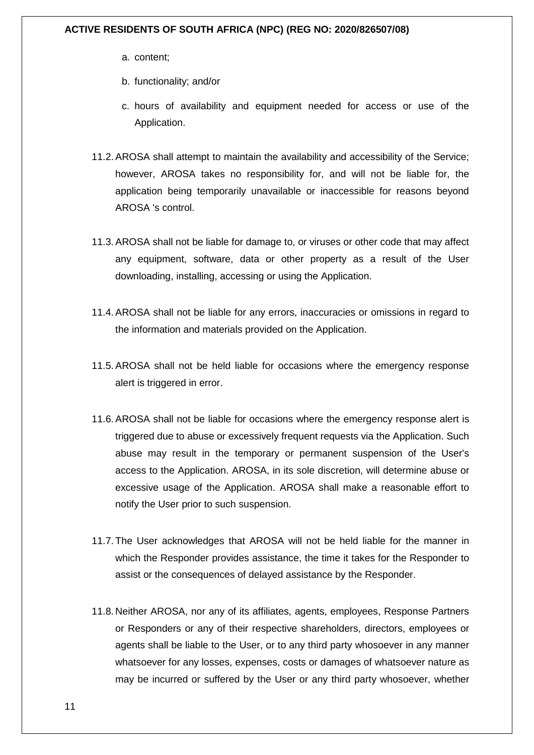- a. content;
- b. functionality; and/or
- c. hours of availability and equipment needed for access or use of the Application.
- 11.2.AROSA shall attempt to maintain the availability and accessibility of the Service; however, AROSA takes no responsibility for, and will not be liable for, the application being temporarily unavailable or inaccessible for reasons beyond AROSA 's control.
- 11.3.AROSA shall not be liable for damage to, or viruses or other code that may affect any equipment, software, data or other property as a result of the User downloading, installing, accessing or using the Application.
- 11.4.AROSA shall not be liable for any errors, inaccuracies or omissions in regard to the information and materials provided on the Application.
- 11.5.AROSA shall not be held liable for occasions where the emergency response alert is triggered in error.
- 11.6.AROSA shall not be liable for occasions where the emergency response alert is triggered due to abuse or excessively frequent requests via the Application. Such abuse may result in the temporary or permanent suspension of the User's access to the Application. AROSA, in its sole discretion, will determine abuse or excessive usage of the Application. AROSA shall make a reasonable effort to notify the User prior to such suspension.
- 11.7. The User acknowledges that AROSA will not be held liable for the manner in which the Responder provides assistance, the time it takes for the Responder to assist or the consequences of delayed assistance by the Responder.
- 11.8. Neither AROSA, nor any of its affiliates, agents, employees, Response Partners or Responders or any of their respective shareholders, directors, employees or agents shall be liable to the User, or to any third party whosoever in any manner whatsoever for any losses, expenses, costs or damages of whatsoever nature as may be incurred or suffered by the User or any third party whosoever, whether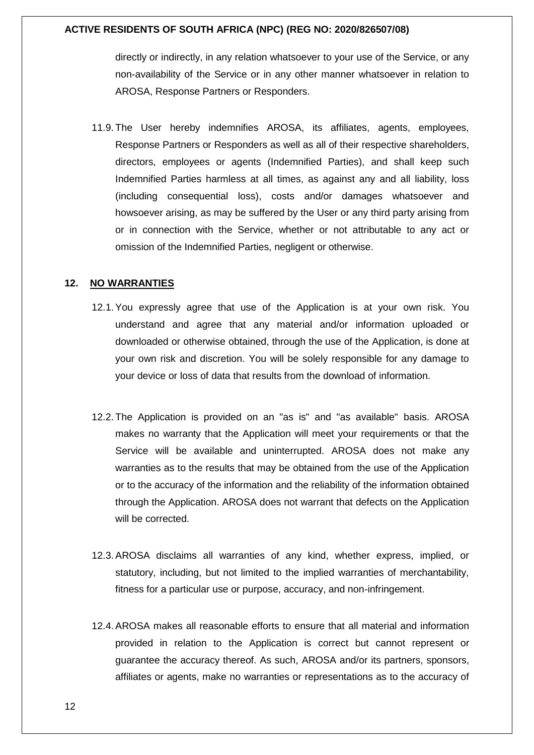directly or indirectly, in any relation whatsoever to your use of the Service, or any non-availability of the Service or in any other manner whatsoever in relation to AROSA, Response Partners or Responders.

11.9. The User hereby indemnifies AROSA, its affiliates, agents, employees, Response Partners or Responders as well as all of their respective shareholders, directors, employees or agents (Indemnified Parties), and shall keep such Indemnified Parties harmless at all times, as against any and all liability, loss (including consequential loss), costs and/or damages whatsoever and howsoever arising, as may be suffered by the User or any third party arising from or in connection with the Service, whether or not attributable to any act or omission of the Indemnified Parties, negligent or otherwise.

#### **12. NO WARRANTIES**

- 12.1.You expressly agree that use of the Application is at your own risk. You understand and agree that any material and/or information uploaded or downloaded or otherwise obtained, through the use of the Application, is done at your own risk and discretion. You will be solely responsible for any damage to your device or loss of data that results from the download of information.
- 12.2. The Application is provided on an "as is" and "as available" basis. AROSA makes no warranty that the Application will meet your requirements or that the Service will be available and uninterrupted. AROSA does not make any warranties as to the results that may be obtained from the use of the Application or to the accuracy of the information and the reliability of the information obtained through the Application. AROSA does not warrant that defects on the Application will be corrected.
- 12.3.AROSA disclaims all warranties of any kind, whether express, implied, or statutory, including, but not limited to the implied warranties of merchantability, fitness for a particular use or purpose, accuracy, and non-infringement.
- 12.4.AROSA makes all reasonable efforts to ensure that all material and information provided in relation to the Application is correct but cannot represent or guarantee the accuracy thereof. As such, AROSA and/or its partners, sponsors, affiliates or agents, make no warranties or representations as to the accuracy of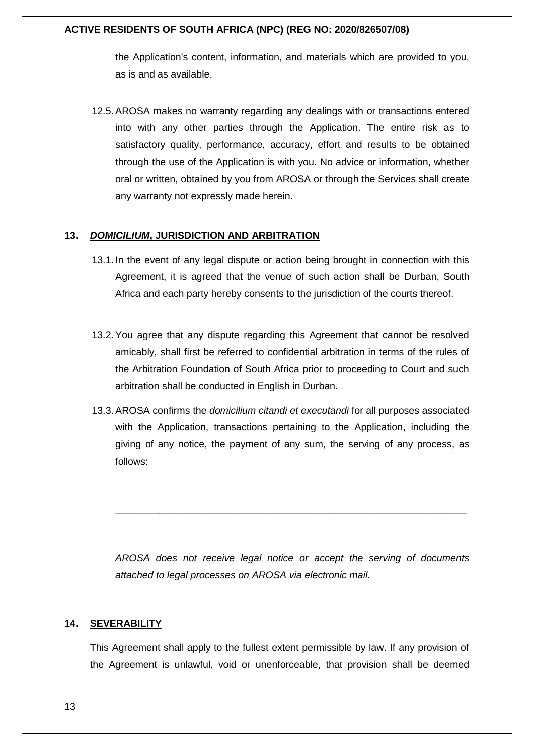the Application's content, information, and materials which are provided to you, as is and as available.

12.5.AROSA makes no warranty regarding any dealings with or transactions entered into with any other parties through the Application. The entire risk as to satisfactory quality, performance, accuracy, effort and results to be obtained through the use of the Application is with you. No advice or information, whether oral or written, obtained by you from AROSA or through the Services shall create any warranty not expressly made herein.

### **13.** *DOMICILIUM***, JURISDICTION AND ARBITRATION**

- 13.1. In the event of any legal dispute or action being brought in connection with this Agreement, it is agreed that the venue of such action shall be Durban, South Africa and each party hereby consents to the jurisdiction of the courts thereof.
- 13.2.You agree that any dispute regarding this Agreement that cannot be resolved amicably, shall first be referred to confidential arbitration in terms of the rules of the Arbitration Foundation of South Africa prior to proceeding to Court and such arbitration shall be conducted in English in Durban.
- 13.3.AROSA confirms the *domicilium citandi et executandi* for all purposes associated with the Application, transactions pertaining to the Application, including the giving of any notice, the payment of any sum, the serving of any process, as follows:

*AROSA does not receive legal notice or accept the serving of documents attached to legal processes on AROSA via electronic mail.*

**\_\_\_\_\_\_\_\_\_\_\_\_\_\_\_\_\_\_\_\_\_\_\_\_\_\_\_\_\_\_\_\_\_\_\_\_\_\_\_\_\_\_\_\_\_\_\_\_\_\_\_\_\_\_\_\_\_\_\_\_\_\_\_\_**

#### **14. SEVERABILITY**

This Agreement shall apply to the fullest extent permissible by law. If any provision of the Agreement is unlawful, void or unenforceable, that provision shall be deemed